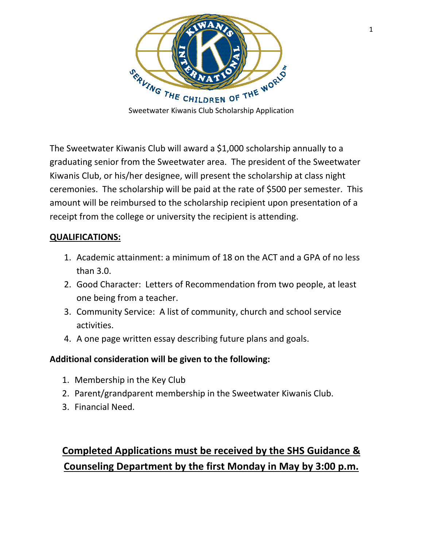

The Sweetwater Kiwanis Club will award a \$1,000 scholarship annually to a graduating senior from the Sweetwater area. The president of the Sweetwater Kiwanis Club, or his/her designee, will present the scholarship at class night ceremonies. The scholarship will be paid at the rate of \$500 per semester. This amount will be reimbursed to the scholarship recipient upon presentation of a receipt from the college or university the recipient is attending.

#### **QUALIFICATIONS:**

- 1. Academic attainment: a minimum of 18 on the ACT and a GPA of no less than 3.0.
- 2. Good Character: Letters of Recommendation from two people, at least one being from a teacher.
- 3. Community Service: A list of community, church and school service activities.
- 4. A one page written essay describing future plans and goals.

### **Additional consideration will be given to the following:**

- 1. Membership in the Key Club
- 2. Parent/grandparent membership in the Sweetwater Kiwanis Club.
- 3. Financial Need.

# **Completed Applications must be received by the SHS Guidance & Counseling Department by the first Monday in May by 3:00 p.m.**